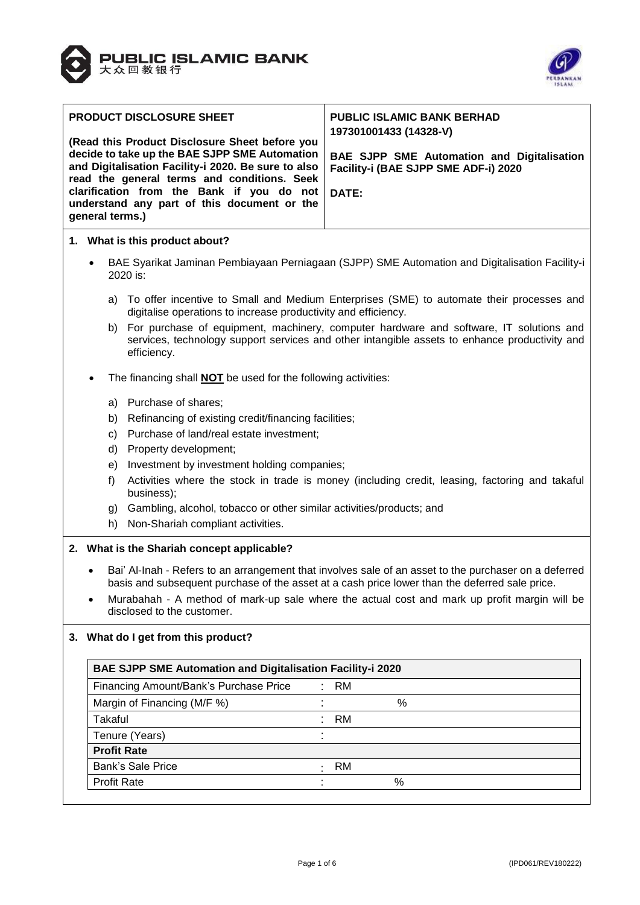



| <b>PRODUCT DISCLOSURE SHEET</b>                                                                             | <b>PUBLIC ISLAMIC BANK BERHAD</b><br>197301001433 (14328-V) |
|-------------------------------------------------------------------------------------------------------------|-------------------------------------------------------------|
| (Read this Product Disclosure Sheet before you<br>decide to take up the BAE SJPP SME Automation             | <b>BAE SJPP SME Automation and Digitalisation</b>           |
| and Digitalisation Facility-i 2020. Be sure to also<br>read the general terms and conditions. Seek          | Facility-i (BAE SJPP SME ADF-i) 2020                        |
| clarification from the Bank if you do not<br>understand any part of this document or the<br>general terms.) | DATE:                                                       |

# **1. What is this product about?**

- BAE Syarikat Jaminan Pembiayaan Perniagaan (SJPP) SME Automation and Digitalisation Facility-i 2020 is:
	- a) To offer incentive to Small and Medium Enterprises (SME) to automate their processes and digitalise operations to increase productivity and efficiency.
	- b) For purchase of equipment, machinery, computer hardware and software, IT solutions and services, technology support services and other intangible assets to enhance productivity and efficiency.
- The financing shall **NOT** be used for the following activities:
	- a) Purchase of shares;
	- b) Refinancing of existing credit/financing facilities;
	- c) Purchase of land/real estate investment;
	- d) Property development;
	- e) Investment by investment holding companies;
	- f) Activities where the stock in trade is money (including credit, leasing, factoring and takaful business);
	- g) Gambling, alcohol, tobacco or other similar activities/products; and
	- h) Non-Shariah compliant activities.

### **2. What is the Shariah concept applicable?**

- Bai' Al-Inah Refers to an arrangement that involves sale of an asset to the purchaser on a deferred basis and subsequent purchase of the asset at a cash price lower than the deferred sale price.
- Murabahah A method of mark-up sale where the actual cost and mark up profit margin will be disclosed to the customer.

# **3. What do I get from this product?**

| <b>BAE SJPP SME Automation and Digitalisation Facility-i 2020</b> |  |           |   |  |
|-------------------------------------------------------------------|--|-----------|---|--|
| Financing Amount/Bank's Purchase Price                            |  | : RM      |   |  |
| Margin of Financing (M/F %)                                       |  |           | % |  |
| Takaful                                                           |  | : RM      |   |  |
| Tenure (Years)                                                    |  |           |   |  |
| <b>Profit Rate</b>                                                |  |           |   |  |
| <b>Bank's Sale Price</b>                                          |  | <b>RM</b> |   |  |
| <b>Profit Rate</b>                                                |  |           | % |  |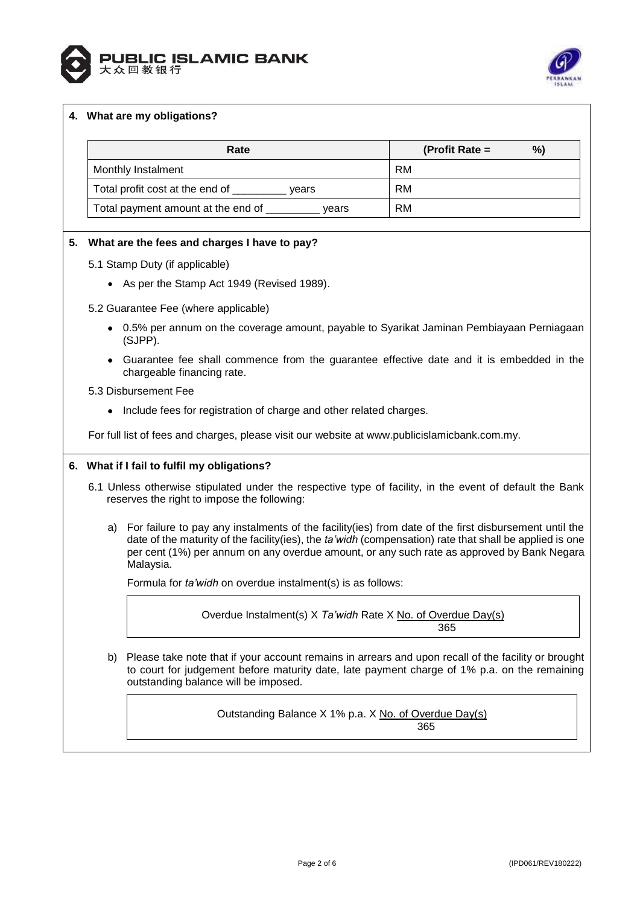



# **4. What are my obligations?**

| Rate                                        | %)<br>(Profit Rate $=$ |
|---------------------------------------------|------------------------|
| Monthly Instalment                          | RM                     |
| Total profit cost at the end of<br>vears    | RM                     |
| Total payment amount at the end of<br>vears | <b>RM</b>              |

# **5. What are the fees and charges I have to pay?**

- 5.1 Stamp Duty (if applicable)
	- As per the Stamp Act 1949 (Revised 1989).
- 5.2 Guarantee Fee (where applicable)
	- 0.5% per annum on the coverage amount, payable to Syarikat Jaminan Pembiayaan Perniagaan (SJPP).
	- Guarantee fee shall commence from the guarantee effective date and it is embedded in the chargeable financing rate.
- 5.3 Disbursement Fee
	- Include fees for registration of charge and other related charges.

For full list of fees and charges, please visit our website at [www.publicislamicbank.com.my.](http://www.publicislamicbank.com.my/)

### **6. What if I fail to fulfil my obligations?**

- 6.1 Unless otherwise stipulated under the respective type of facility, in the event of default the Bank reserves the right to impose the following:
	- a) For failure to pay any instalments of the facility(ies) from date of the first disbursement until the date of the maturity of the facility(ies), the *ta'widh* (compensation) rate that shall be applied is one per cent (1%) per annum on any overdue amount, or any such rate as approved by Bank Negara Malaysia.

Formula for *ta'widh* on overdue instalment(s) is as follows:

Overdue Instalment(s) X *Ta'widh* Rate X No. of Overdue Day(s) 365

b) Please take note that if your account remains in arrears and upon recall of the facility or brought to court for judgement before maturity date, late payment charge of 1% p.a. on the remaining outstanding balance will be imposed.

> Outstanding Balance X 1% p.a. X No. of Overdue Day(s) 365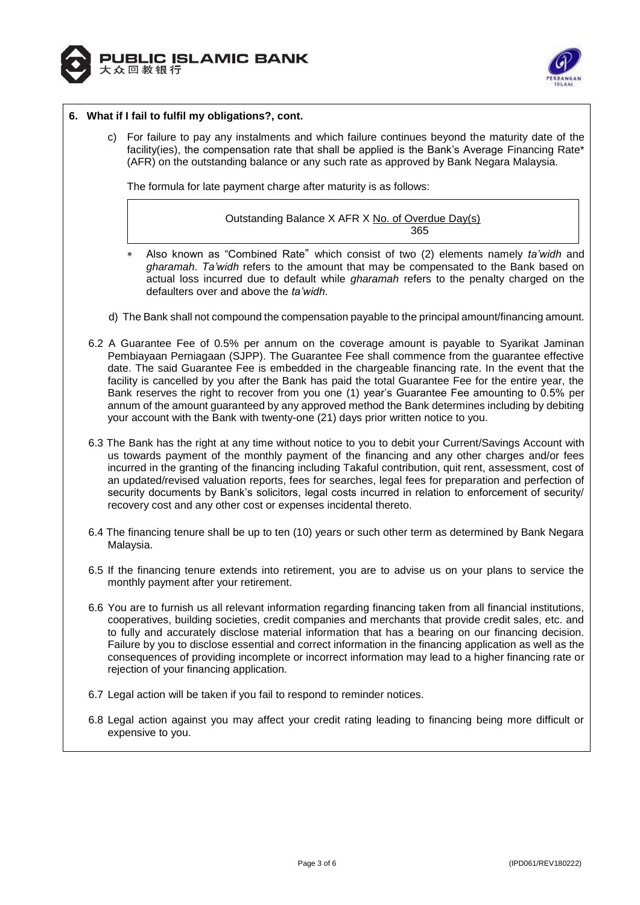



## **6. What if I fail to fulfil my obligations?, cont.**

c) For failure to pay any instalments and which failure continues beyond the maturity date of the facility(ies), the compensation rate that shall be applied is the Bank's Average Financing Rate\* (AFR) on the outstanding balance or any such rate as approved by Bank Negara Malaysia.

The formula for late payment charge after maturity is as follows:

Outstanding Balance X AFR X No. of Overdue Day(s) <u>365 - John Stein, Amerikaansk politiker (</u>

- Also known as "Combined Rate" which consist of two (2) elements namely *ta'widh* and *gharamah*. *Ta'widh* refers to the amount that may be compensated to the Bank based on actual loss incurred due to default while *gharamah* refers to the penalty charged on the defaulters over and above the *ta'widh*.
- d) The Bank shall not compound the compensation payable to the principal amount/financing amount.
- 6.2 A Guarantee Fee of 0.5% per annum on the coverage amount is payable to Syarikat Jaminan Pembiayaan Perniagaan (SJPP). The Guarantee Fee shall commence from the guarantee effective date. The said Guarantee Fee is embedded in the chargeable financing rate. In the event that the facility is cancelled by you after the Bank has paid the total Guarantee Fee for the entire year, the Bank reserves the right to recover from you one (1) year's Guarantee Fee amounting to 0.5% per annum of the amount guaranteed by any approved method the Bank determines including by debiting your account with the Bank with twenty-one (21) days prior written notice to you.
- 6.3 The Bank has the right at any time without notice to you to debit your Current/Savings Account with us towards payment of the monthly payment of the financing and any other charges and/or fees incurred in the granting of the financing including Takaful contribution, quit rent, assessment, cost of an updated/revised valuation reports, fees for searches, legal fees for preparation and perfection of security documents by Bank's solicitors, legal costs incurred in relation to enforcement of security/ recovery cost and any other cost or expenses incidental thereto.
- 6.4 The financing tenure shall be up to ten (10) years or such other term as determined by Bank Negara Malaysia.
- 6.5 If the financing tenure extends into retirement, you are to advise us on your plans to service the monthly payment after your retirement.
- 6.6 You are to furnish us all relevant information regarding financing taken from all financial institutions, cooperatives, building societies, credit companies and merchants that provide credit sales, etc. and to fully and accurately disclose material information that has a bearing on our financing decision. Failure by you to disclose essential and correct information in the financing application as well as the consequences of providing incomplete or incorrect information may lead to a higher financing rate or rejection of your financing application.
- 6.7 Legal action will be taken if you fail to respond to reminder notices.
- 6.8 Legal action against you may affect your credit rating leading to financing being more difficult or expensive to you.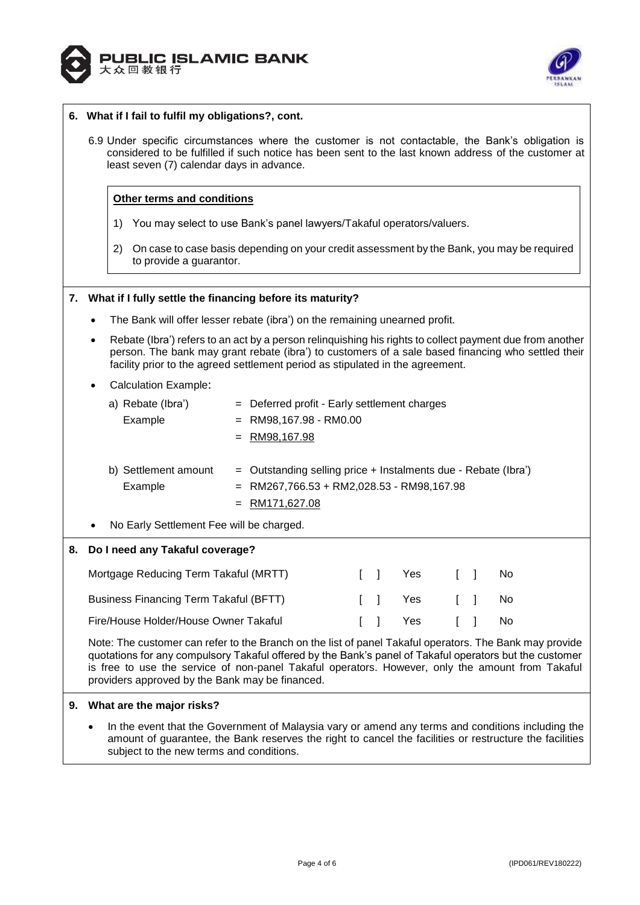



## **6. What if I fail to fulfil my obligations?, cont.**

6.9 Under specific circumstances where the customer is not contactable, the Bank's obligation is considered to be fulfilled if such notice has been sent to the last known address of the customer at least seven (7) calendar days in advance.

## **Other terms and conditions**

- 1) You may select to use Bank's panel lawyers/Takaful operators/valuers.
- 2) On case to case basis depending on your credit assessment by the Bank, you may be required to provide a guarantor.

### **7. What if I fully settle the financing before its maturity?**

- The Bank will offer lesser rebate (ibra') on the remaining unearned profit.
- Rebate (Ibra') refers to an act by a person relinquishing his rights to collect payment due from another person. The bank may grant rebate (ibra') to customers of a sale based financing who settled their facility prior to the agreed settlement period as stipulated in the agreement.

### Calculation Example:

|           | Rebate (Ibra')<br>a)                     | $=$ Deferred profit - Early settlement charges                   |
|-----------|------------------------------------------|------------------------------------------------------------------|
|           | Example                                  | $=$ RM98,167.98 - RM0.00                                         |
|           |                                          | $=$ RM98,167.98                                                  |
|           |                                          |                                                                  |
|           | b) Settlement amount                     | $=$ Outstanding selling price + Instalments due - Rebate (Ibra') |
|           | Example                                  | $=$ RM267,766.53 + RM2,028.53 - RM98,167.98                      |
|           |                                          | $=$ RM171,627.08                                                 |
| $\bullet$ | No Early Settlement Fee will be charged. |                                                                  |
|           |                                          |                                                                  |

# **8. Do I need any Takaful coverage?**

| Mortgage Reducing Term Takaful (MRTT)  |  | II Yes         | $\sim$ 1 $\sim$ 1 $\sim$ | - No |
|----------------------------------------|--|----------------|--------------------------|------|
| Business Financing Term Takaful (BFTT) |  | II Yes II No   |                          |      |
| Fire/House Holder/House Owner Takaful  |  | [ ] Yes [ ] No |                          |      |

Note: The customer can refer to the Branch on the list of panel Takaful operators. The Bank may provide quotations for any compulsory Takaful offered by the Bank's panel of Takaful operators but the customer is free to use the service of non-panel Takaful operators. However, only the amount from Takaful providers approved by the Bank may be financed.

### **9. What are the major risks?**

 In the event that the Government of Malaysia vary or amend any terms and conditions including the amount of guarantee, the Bank reserves the right to cancel the facilities or restructure the facilities subject to the new terms and conditions.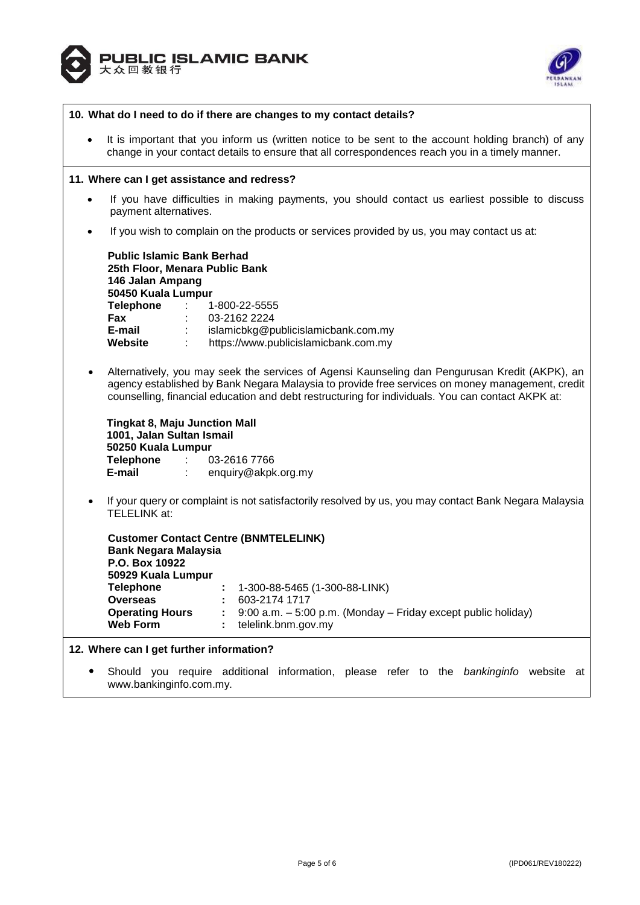



| 10. What do I need to do if there are changes to my contact details?                                                                                                                                                                                                                                                                                                                                                                                                                                    |  |  |
|---------------------------------------------------------------------------------------------------------------------------------------------------------------------------------------------------------------------------------------------------------------------------------------------------------------------------------------------------------------------------------------------------------------------------------------------------------------------------------------------------------|--|--|
| It is important that you inform us (written notice to be sent to the account holding branch) of any<br>$\bullet$<br>change in your contact details to ensure that all correspondences reach you in a timely manner.                                                                                                                                                                                                                                                                                     |  |  |
| 11. Where can I get assistance and redress?                                                                                                                                                                                                                                                                                                                                                                                                                                                             |  |  |
| If you have difficulties in making payments, you should contact us earliest possible to discuss<br>$\bullet$<br>payment alternatives.                                                                                                                                                                                                                                                                                                                                                                   |  |  |
| If you wish to complain on the products or services provided by us, you may contact us at:<br>$\bullet$                                                                                                                                                                                                                                                                                                                                                                                                 |  |  |
| <b>Public Islamic Bank Berhad</b><br>25th Floor, Menara Public Bank<br>146 Jalan Ampang<br>50450 Kuala Lumpur<br><b>Telephone :</b><br>1-800-22-5555<br><b>Fax</b><br>03-2162 2224<br>E-mail :<br>islamicbkg@publicislamicbank.com.my<br>https://www.publicislamicbank.com.my<br><b>Website :</b>                                                                                                                                                                                                       |  |  |
| Alternatively, you may seek the services of Agensi Kaunseling dan Pengurusan Kredit (AKPK), an<br>$\bullet$<br>agency established by Bank Negara Malaysia to provide free services on money management, credit<br>counselling, financial education and debt restructuring for individuals. You can contact AKPK at:<br><b>Tingkat 8, Maju Junction Mall</b><br>1001, Jalan Sultan Ismail<br>50250 Kuala Lumpur<br>Telephone : 03-2616 7766<br>E-mail<br>enquiry@akpk.org.my<br>$\mathcal{L}_{\rm{max}}$ |  |  |
| If your query or complaint is not satisfactorily resolved by us, you may contact Bank Negara Malaysia<br>$\bullet$<br>TELELINK at:                                                                                                                                                                                                                                                                                                                                                                      |  |  |
| <b>Customer Contact Centre (BNMTELELINK)</b><br><b>Bank Negara Malaysia</b><br>P.O. Box 10922<br>50929 Kuala Lumpur<br>1-300-88-5465 (1-300-88-LINK)<br><b>Telephone</b><br>603-2174 1717<br><b>Overseas</b><br><b>Operating Hours</b><br>9:00 a.m. - 5:00 p.m. (Monday - Friday except public holiday)<br><b>Web Form</b><br>telelink.bnm.gov.my                                                                                                                                                       |  |  |
| 12. Where can I get further information?                                                                                                                                                                                                                                                                                                                                                                                                                                                                |  |  |
| Should you require additional information, please refer to the bankinginfo website at<br>٠<br>www.bankinginfo.com.my.                                                                                                                                                                                                                                                                                                                                                                                   |  |  |